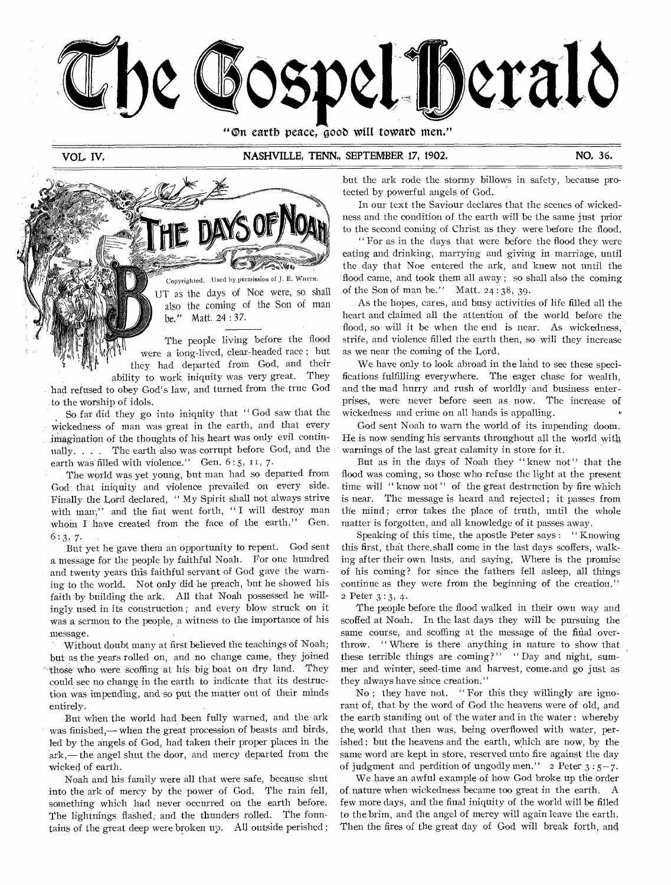

"On earth peace, good will toward men."

## VOL, IV, NASHVILLE, TENN, SEPTEMBER 17, 1902. NO. 36,

slob Copyrighted. Used by permission of J. E. WHITE. UT as the days of Noe were, so shall also the coming of the Son of man be." Matt. 24 : 37.

The people living before the flood were a long-lived, clear-headed race; but they had departed from God, and their ability to work iniquity was very great. They had refused to obey God's law, and turned from the true God

to the worship of idols. So far did they go into iniquity that " God saw that the wickedness of man was great in the earth, and that every imagination of the thoughts of his heart was only evil continually. . . . The earth also was corrupt before God, and the earth was filled with violence." Gen. 6:5, II, 7.

The world was yet young, but man had so departed from God that iniquity and violence prevailed on every side. Finally the Lord declared, " My Spirit shall not always strive with man;" and the fiat went forth, "I will destroy man whom I have created from the face of the earth." Gen.  $6:3, 7.$ 

But yet he gave them an opportunity to repent. God sent a message for the people by faithful Noah. For one hundred and twenty years this faithful servant of God gave the warning to the world. Not only did he preach, but he showed his faith by building the ark. All that Noah possessed he willingly used in its construction; and every blow struck on it was a sermon to the people, a witness to the importance of his message.

Without doubt many at first believed the teachings of Noah; but as the years rolled on, and no change came, they joined `-those who were scoffing at his,big boat on dry land. They could see no change in the earth to indicate that its destruction was impending, and so put the matter out of their minds entirely.

But when the world had been fully warned; and the ark was finished,— when the great procession of beasts and birds, led by the angels of God, had taken their proper places in the ark,—the angel shut the door, and mercy departed from the wicked of earth.

Noah and his family were all that were safe, because shut into the ark of mercy by the power of God. The rain fell, soniething which had never occurred on the earth before. The lightnings flashed; and the thunders rolled. The fountains of the great deep were broken up. All outside perished ; but the ark rode the stormy billows in safety, because protected by powerful angels of God.

In our text the Saviour declares that the scenes of wickedness and the condition of the earth will be the same just prior to the second coming of Christ as they were before the flood.

"For as in the days that were before the flood they were eating and drinking, marrying and giving in marriage, until the day that Noe entered the ark, and knew not until the flood came, and took them all away ; so shall also the coming of the Son of man be." Matt. 24 : 38, 39•

As the hopes, cares, and busy activities of life filled all the heart and claimed all the attention of the world before the flood, so will it be when the end is near. As wickedness, strife, and violence filled the earth then, so will they increase as we near the coming of the Lord.

We have only to look abroad in the land to see these specifications fulfilling everywhere. The eager chase for wealth, and the mad hurry and rush of worldly and business enterprises, were never before seen as now. The increase of wickedness and crime on all hands is appalling.

God sent Noah to warn the world of its impending doom. He is now sending his servants throughout all the world with warnings of the last great calamity in store for it.

But as in the days of Noah they "knew not" that the flood was coming, so those who refuse the light at the present time will "know not" of the great destruction by fire which is near. The message is heard and rejected ; it passes from the mind ; error takes the place of truth, until the whole matter is forgotten, and all knowledge of it passes away.

Speaking of this time, the apostle Peter says : " Knowing this first, that there shall come in the last days scoffers, walking after their own lusts, and saying, Where is the promise of his coming? for since the fathers fell asleep, all things continue as they were from the beginning of the creation." 2 Peter 3 :3, 4•

The people before the flood walked in their own way and scoffed at Noah. In the last days they will be pursuing the same course, and scoffing at the message of the final overthrow. " Where is there anything in nature to show that these terrible things are coming?" "Day and night, summer and winter, seed-time and harvest, come and go just as they always have since creation."

No ; they have not. " For this they willingly are ignorant of, that by the word of God the heavens were of old, and the earth standing out of the water and in the water : whereby the, world that then was, being overflowed with water, perished : but the heavens and the earth, which are now, by the same word are kept in store, reserved unto fire against the day of judgment and perdition of ungodly men." 2 Peter  $3:5-7$ .

We have an awful example of how God broke up the order of nature when wickedness became too great in the earth. A few more days, and the final iniquity of the world will be filled to the brim, and the angel of mercy will again leave the earth. Then the fires of the great day of God will break forth, and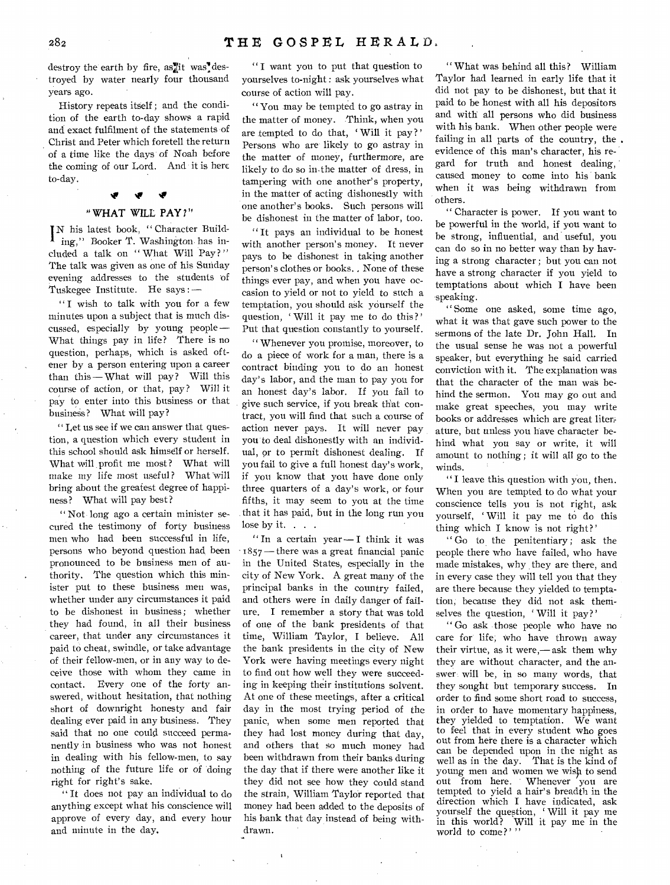destroy the earth by fire, as it was destroyed by water nearly four thousand years ago.

History repeats itself ; and the condition of the earth to-day shows a rapid and exact fulfilment of the statements of Christ and Peter which foretell the return of a time like the days of Noah before the coming of our Lord. And it is here to-day.

## Niv

## " WHAT WILL PAY ? "

 $\prod_{i=1}^{N}$  his latest book, "Character Building," Booker T. Washington has included a talk on "What Will Pay?" The talk was given as one of his Sunday evening addresses to the students of Tuskegee Institute. He says : —

"I wish to talk with you for a few minutes upon a subject that is much discussed, especially by young people— What things pay in life? There is no question, perhaps, which is asked oftener by a person entering upon a career than this—What will pay? Will this course of action, or that, pay? Will it pay to enter into this business or that business? What will pay?

Let us see if we can answer that question, a question which every student in this school should ask himself or herself. What will profit me most? What will make my life most useful? What will bring about the greatest degree of happiness? What will pay best?

" Not long ago a certain minister secured the testimony of forty business men who had been successful in life, persons who beyond question had been pronounced to be business men of authority. The question which this minister put to these business men was, whether under any circumstances it paid to be dishonest in business; whether they had found, in all their business career, that under any circumstances it paid to cheat, swindle, or take advantage of their fellow-men, or in any way to deceive those with whom they came in contact. Every one of the forty answered, without hesitation, that nothing short of downright honesty and fair dealing ever paid in any business. They said that no one could succeed permanently in business who was not honest in dealing with his fellow-men, to say nothing of the future life or of 'doing right for right's sake.

" It does not pay an individual to do anything except what his conscience will approve of every day, and every hour and minute in the day.

" I want you to put that question to yourselves to-night : ask yourselves what course of action will pay.

" You may be tempted to go astray in the matter of money. Think, when you are tempted to do that, ' Will it pay ? ' Persons who are likely to go astray in the matter of money, furthermore, are likely to do so in the matter of dress, in tampering with one another's property, in the matter of acting dishonestly with one another's books. Such persons will be dishonest in the matter of labor, too.

" It pays an individual to be honest with another person's money. It never pays to be dishonest in taking another person's clothes or books. . None of these things ever pay, and when you have occasion to yield or not to yield to such a temptation, you should ask yourself the question, ' Will it pay me to do this?' Put that question constantly to yourself.

" Whenever you promise, moreover, to do a piece of work for a man, there is a contract binding you to do an honest day's labor, and the man to pay you for an honest day's labor. If you fail to give such service, if you break that contract, you will find that such a course of action never pays. It will never pay you to deal dishonestly with an individual, or to permit dishonest dealing. If you fail to give a full honest day's work, if you know that you have done only three quarters of a day's work, or four fifths, it may seem to you at the time that it has paid, but in the long run you lose by it. . . .

" In a certain year — I think it was 1857— there was a great financial panic in the United States, especially in the city of New York. A great many of the principal banks in the country failed, and others were in daily danger of failure. I remember a story that was told of one of the bank presidents of that time, William Taylor, I believe. All the bank presidents in the city of New York were having meetings every night to find out how well they were succeeding in keeping their institutions solvent. At one of these meetings, after a critical day in the most trying period of the panic, when some men reported that they had lost money during that day, and others that so much money had been withdrawn from their banks during the day that if there were another like it they did not see how they could stand the strain, William Taylor reported that money had been added to the deposits of his bank that day instead of being withdrawn.

" What was behind all this? William Taylor had learned in early life that it did not pay to be dishonest, but that it paid to be honest with all his depositors and with all persons who did business with his bank. When other people were failing in all parts of the country, the . evidence of this man's character, his regard for truth and honest dealing, caused money to come into his bank when it was being withdrawn from others.

" Character is power. If you want to be powerful in the world, if you want to be strong, influential, and useful, you can do so in no better way than by having a strong character ; but you can not have a strong character if you yield to temptations about which I have been speaking.

" Some one asked, some time ago, what it was that gave such power to the sermons of the late Dr. John Hall. In the usual sense he was not a powerful speaker, but everything he said carried conviction with it. The explanation was that the character of the man was behind the sermon. You may go out and make great speeches, you may write books or addresses which are great liter, attire, but unless you have character behind what you say or write, it will amount to nothing ; it will all go to the winds.

" I leave this question with you, then. When you are tempted to do what your conscience tells you is not right, ask yourself, Will it pay me to do this thing which I know is not right?'

" Go to the penitentiary ; ask the people there who have failed, who have made mistakes, why they are there, and in every case they will tell you that they are there because they yielded to temptation; because they did not ask themselves the question, ' Will it pay?'

" Go ask those people who have no care for life; who have thrown away their virtue, as it were,— ask them why they are without character, and the answer will be, in so many words, that they sought but temporary success. In order to find some short road to success, in order to have momentary happiness, they yielded to temptation. We want to feel that in every student who goes out from here there is a character which can be depended upon in the night as well as in the day. That is the kind of young men and women we wish to send<br>out from here. Whenever you are Whenever 'you are tempted to yield a hair's breadth in the direction which I have indicated, ask yourself the question, ' Will it pay me in this world? Will it pay me in the world to come?'''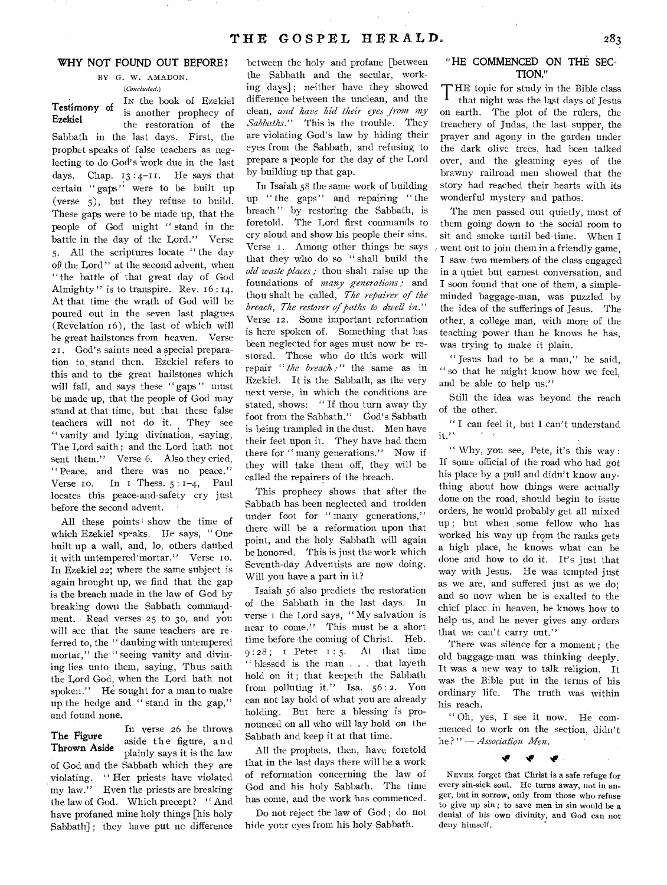## WHY NOT FOUND OUT BEFORE?

BY G. W. AMADON.

Testimony of Ezekiel

*(Concluded.)*  IN the book of Ezekiel is another prophecy of the restoration of the

Sabbath in the last days. First, the prophet speaks of false teachers as neglecting to do God's work due in the last days. Chap. 13:4-11. He says that certain " gaps" were to be built up (verse 5), but they refuse to build. These gaps were to be made up, that the people of God might " stand in the battle in the day of the Lord." Verse 5. All the scriptures locate " the day of the Lord" at the second advent, when " the battle of that great day of God Almighty" is to transpire. Rev. 16 : 14. At that time the wrath of God will be poured out in the seven last plagues (Revelation 16), the last of which will be great hailstones from heaven. Verse 2I . God's saints need a special preparation to, stand then. Ezekiel refers to this and to the great hailstones which will fall, and says these "gaps" must be made up, that the people of God may stand at that time, but that these false teachers will not do it. They see " vanity and lying divination, •saying, The Lord saith ; and the Lord hath not sent them." Verse 6. Also they cried, " Peace, and there was no peace." Verse 10. In  $\text{I}$  Thess.  $5:1-4$ , Paul locates this peace-and-safety cry just before the second advent.

All these points ' show the time of which Ezekiel speaks. He says, " One built up a wall, and, lo, others daubed it with untempered mortar." Verse 10. In Ezekiel 22; where the same subject is again brought up, we find that the gap is the breach made in the law of God by breaking down the Sabbath commandment. Read verses 25 to 3o, and you will see that the same teachers are referred to, the " daubing with untempered mortar," the " seeing vanity and divining lies unto them, saying, Thus saith the Lord God, when the Lord hath not spoken." He sought for a man to make up the hedge and " stand in the gap," and found none.

# The Figure

In verse 26 he throws The rigure<br>Thrown Aside additions are it is the laws plainly says it is the law

of God and the Sabbath which they are violating. " Her priests have violated my law." Even the priests are breaking the law of God. Which precept? " And have profaned mine holy things [his holy Sabbath] ; they have put no difference

between the holy and profane [between the Sabbath and the secular, working days] ; neither have they showed difference between the unclean, and the clean, and have hid their eyes from my *Sabbaths."* This is the trouble. They are violating God's law by hiding their eyes from the Sabbath, and refusing to prepare a people for the day of the Lord by building up that gap.

In Isaiah 58 the same work of building up " the gaps " and repairing " the breach" by restoring the Sabbath, is foretold. The Lord first commands to cry aloud and show his people their sins. Verse 1. Among other things he says that they who do so " shall build the *old waste places ;* thou shalt raise up the foundations of *many generations;* and thou shalt be called, *The repairer of the breach, The restorer of paths to dwell in."*  Verse 12. Some important reformation is here spoken of. Something that has been neglected for ages must now be restored. Those who do this work will repair *" the breach ;"* the same as in Ezekiel. It is the Sabbath, as the very next verse, in which the conditions are stated, shows: " If thou turn away thy foot from the Sabbath." God's Sabbath is being trampled in the dust. Men have their feet upon it. They have had them there for " many generations." Now if they will take them off, they will be called the repairers of the breach.

This prophecy shows that after the Sabbath has been neglected and trodden under foot for " many generations," there will be a reformation upon that point, and the holy Sabbath will again be honored. This is just the work which Seventh-day Adventists are now doing. Will you have a part in it?

Isaiah 56 also predicts the restoration of the Sabbath in the last days. In verse I the Lord says, "My salvation is near to come." This must be a short time before the coming of Christ. Heb.  $9:28$ ; I Peter  $1:5$ . At that time " blessed is the man . . . that layeth hold on it ; that keepeth the Sabbath from polluting it." Isa. 56:2. You can not lay hold of what you are already holding. But here a blessing is pronounced on all who will lay hold on the Sabbath and keep it at that time.

All the prophets, then, have foretold that in the last days there will be a work of reformation concerning the law of God and his holy Sabbath. The time has come, and the work has commenced.

Do not reject the law of God ; do not hide your eyes from his holy Sabbath.

## " HE COMMENCED ON THE SEC-TION,"

THE topic for study in the Bible class<br>that night was the last days of Jesus that night was the last days of Jesus on earth. The plot of the rulers, the treachery of Judas, the last supper, the prayer and agony in the garden under the dark olive trees, had been talked over, and the gleaming eyes of the brawny railroad men showed that the story had reached their hearts with its wonderful mystery and pathos.

The men passed out quietly, most of them going down to the social room to sit and smoke until bed-time. When I went out to join them in a friendly game, I saw two members of the class engaged in a quiet but earnest conversation, and I soon found that one of them, a simpleminded baggage-man, was puzzled by the idea of the sufferings of Jesus. The other, a college man, with more of the teaching power than he knows he has, was trying to make it plain.

" Jesus had to be a man," he said, " so that he might know how we feel, and be able to help us."

Still the idea was beyond the reach of the other.

" I can feel it, but I can't understand it."

" Why, you see, Pete, it's this way : If some official of the road who had got his place by a pull and didn't know anything about how things were actually done on the road, should begin to issue orders, he would probably get all mixed up ; but when . some fellow who has worked his way up from the ranks gets a high place, he knows what can be done and how to do it. It's just that way with Jesus. He was tempted just as we are, and suffered just as we do; and so now when he is exalted to the chief place in heaven, he knows how to help us, and he never gives any orders that we can't carry out."

There was silence for a moment ; the old baggage-man was thinking deeply. It was a new way to talk religion. It was the Bible put in the terms of his ordinary life. The truth was within his reach.

" Oh, yes, I see it now. He commenced to work on the section, didn't he? " — *Association Men.* 

v.

NEVER forget that Christ is a safe refuge for every sin-sick soul. He turns away, not in anger, but in sorrow, only from those who refuse to give up sin ; to save men in sin would be a denial of his own divinity, and God can not deny himself.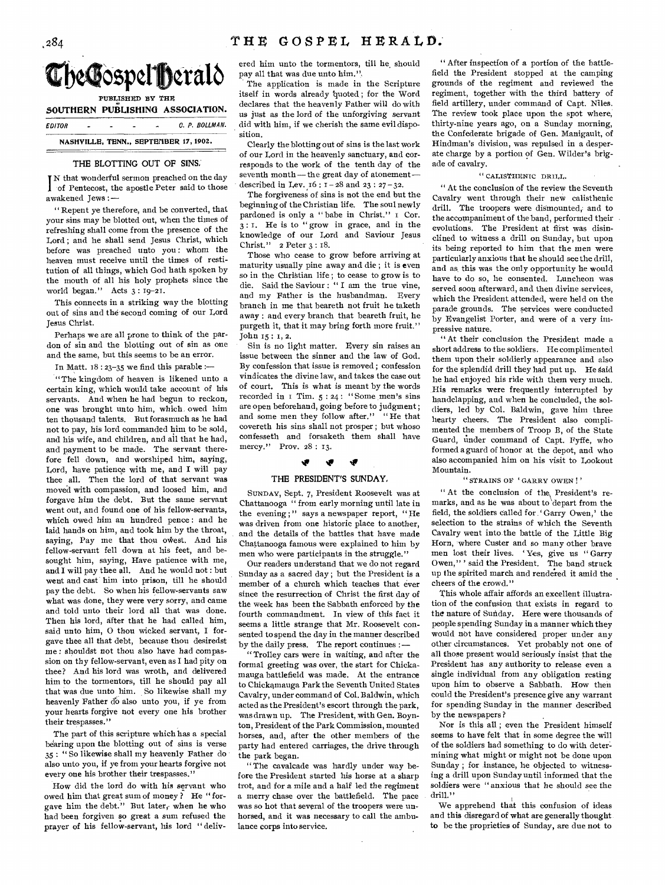

PUBLISHED BY THE **SOUTHERN PUBLISHING ASSOCIATION.** 

*EDITOR C. P. BOLLMAN.*  NASHVILLE, TENN., SEPTEr1BER 17,1902.

## THE BLOTTING OUT OF SINS.

**T** N that wonderful sermon preached on the day **I** of Pentecost, the apostle Peter said to those awakened Jews:—

" Repent ye therefore, and be converted, that your sins may be blotted out, when the times of refreshing shall come from the presence of the Lord ; and he shall send Jesus Christ, which before was preached unto you : whom the heaven must receive until the times of restitution of all things, which God hath spoken by the mouth of all his holy prophets since the world began." Acts 3: 19-21.

This connects in a striking way the blotting out of sins and the second coming of our Lord Jesus Christ.

Perhaps we are all prone to think of the pardon of sin and the blotting out of sin as one and the same, but this seems to be an error.

In Matt. 18 : 23-35 we find this parable :—

"The kingdom of heaven is likened unto a certain king, which would take account of his servants. And when he had begun to reckon, one was brought unto him, which owed him ten thousand talents. But forasmuch as he had not to pay, his lord commanded him to be sold, and his wife, and children, and ail that he had, and payment to be made. The servant therefore fell down, and worshiped him, saying, Lord, have patience with me, and I will pay thee all. Then the lord of that servant was moved with compassion, and loosed him, and forgave him the debt. But the same servant went out, and found one of his fellow-servants, which owed him an hundred pence : and he laid hands on him, and took him by the throat, saying, Pay me that thou owest. And his fellow-servant fell down at his feet, and besought him, saying, Have patience with me, and I will pay thee all. And he would not : but went and cast him into prison, till he should pay the debt. So when his fellow-servants saw what was done, they were very sorry, and came and told unto their lord all that was done. Then his lord, after that he had called him, said unto him, 0 thou wicked servant, I forgave thee all that debt, because thou desiredst me : shouldst not thou also have had compassion on thy fellow-servant, even as I had pity on thee? And his lord was wroth, and delivered him to the tormentors, till he should pay all that was due unto him. So likewise shall my heavenly Father do also unto you, if ye from your hearts forgive not every one his brother their trespasses."

The part of this scripture which has a special bearing upon the blotting out of sins is verse 35 : " So likewise shall my heavenly Father do also unto you, if ye from your hearts forgive not every one his brother their trespasses."

How did the lord do with his servant who owed him that great sum of money ? He "forgave him the debt." But later, when he who had been forgiven so great a sum refused the prayer of his fellow-servant, his lord " delivered him unto the tormentors, till he, should pay all that was due unto him.",

The application is made in the Scripture itself in words already quoted,; for the Word declares that the heavenly Father will do with *us* just as the lord of the unforgiving servant did with him, if we cherish the same evil disposition.

Clearly the blotting out of sins is the last work of our Lord in the heavenly sanctuary, and corresponds to the work of the tenth day of the seventh month - the great day of atonementdescribed in Lev.  $16$ :  $1 - 28$  and  $23$ :  $27 - 32$ .

The forgiveness of sins is not the end but the beginning of the Christian life. The soul newly pardoned is only a " babe in Christ." i Cor. 3 : I. He is to " grow in grace, and in the knowledge of our Lord and Saviour Jesus Christ." 2 Peter 3 : 18.

Those who cease to grow before arriving at maturity usually pine away and die ; it is even so in the Christian life; to cease to grow is to die. Said the Saviour : " I am the true vine, and my Father is the husbandman. Every branch in me that beareth not fruit he taketh away : and every branch that beareth fruit, he purgeth it, that it may bring forth more fruit." John 15 : I, 2.

Sin is no light matter. Every sin raises an issue between the sinner and the law of God. By confession that issue is removed ; confession vindicates the divine law, and takes the case out of court. This is what is meant by the words recorded in  $I$  Tim.  $5 : 24 :$  "Some men's sins are open beforehand, going before to judgment ; and some men they follow after." "He that covereth his sins shall not prosper ; but whoso confesseth and forsaketh them shall have mercy." Prov. 28 : 13.

#### $\mathbf{v}$ ₩ Ŵ

## THE PRESIDENT'S SUNDAY,

SUNDAY, Sept. 7, President Roosevelt was at Chattanooga " from early morning until late in the evening ; " says a newspaper report, " He was driven from one historic place to another, and the details of the battles that have made Chattanooga famous were explained to him by men who were participants in the struggle."

Our readers understand that we do not regard Sunday as a sacred day ; but the President is a member of a church which teaches that ever since the resurrection of Christ the first day of the week has been the Sabbath enforced by the fourth commandment. In view of this fact it seems a little strange that Mr. Roosevelt consented to spend the day in the manner described by the daily press. The report continues :—

" Trolley cars were in waiting, and after the formal greeting was over, the start for Chickamauga battlefield was made. At the entrance to Chickamauga Park the Seventh United States Cavalry, under command of Col. Baldwin, which acted as the President's escort through the park, was drawn up. The President, with Gen. Boynton, President of the Park Commission, mounted horses, and, after the other members of the party had entered carriages, the drive through the park began.

"The cavalcade was hardly under way before the President started his horse at a sharp trot, and for a mile and a half led the regiment a merry chase over the battlefield. The pace was so hot that several of the troopers were unhorsed, and it was necessary to call the ambulance corps into service.

" After inspection of a portion of the battlefield the President stopped at the camping grounds of the regiment and reviewed the regiment, together with the third battery of field artillery, under command of Capt. Niles. The review took place upon the spot where, thirty-nine years ago, on a Sunday morning, the Confederate brigade of Gen. Manigault, of Hindman's division, was repulsed in a desperate charge by a portion of Gen. Wilder's brigade of cavalry.

## " CALISTHENIC DRILL.

" At the conclusion of the review the Seventh Cavalry went through their new calisthenic drill. The troopers were dismounted, and to the accompaniment of the band, performed their evolutions. The President at first was disinclined to witness a drill on Sunday, but upon its being reported to him that the men were particularly anxious that he should see the drill, and as this was the only opportunity he would have to do so, he consented. Luncheon was served soon afterward, and then divine services, which the President attended, were held on the parade grounds. The services were conducted by Evangelist Porter, and were of a very impressive nature.

" At their conclusion the President made a short address to the soldiers. He complimented them upon their soldierly appearance and also for the splendid drill they had put up. He said he had enjoyed his ride with them very much. His remarks were frequently interrupted by handclapping, and when he concluded, the soldiers, led by Col. Baldwin, gave him three hearty cheers. The President also complimented the members of Troop B, of the State Guard, under command of Capt. Fyffe, who formed a guard of honor at the depot, and who also accompanied him on his visit to Lookout Mountain.

## " STRAINS OF 'GARRY OWEN!'

" At the conclusion of the President's remarks, and as he was about to depart from the field, the soldiers called for ' Garry Owen,' the selection to the strains of which the Seventh Cavalry went into the battle of the Little Big Horn, where Custer and so many other brave men lost their lives. ' Yes, give us " Garry Owen,"' said the President. The band struck up the spirited march and rendered it amid the cheers of the crowd."

This whole affair affords an excellent illustration of the confusion that exists in regard to the nature of Sunday. Here were thousands of people spending Sunday in a manner which they would not have considered proper under any other circumstances. Yet probably not one of all those present would seriously insist that the President has any authority to release even a single individual from any obligation resting upon him to observe a Sabbath. How then could the President's presence give any warrant for spending Sunday in the manner described by the newspapers?

Nor is this all ; even the President himself seems to have felt that in some degree the will of the soldiers had something to do with determining what might or might not be done upon Sunday ; for instance, he objected to witnessing a drill upon Sunday until informed that the soldiers were " anxious that he should *see* the drill."

We apprehend that this confusion of ideas and this disregard of what are generally thought to be the proprieties of Sunday, are due not to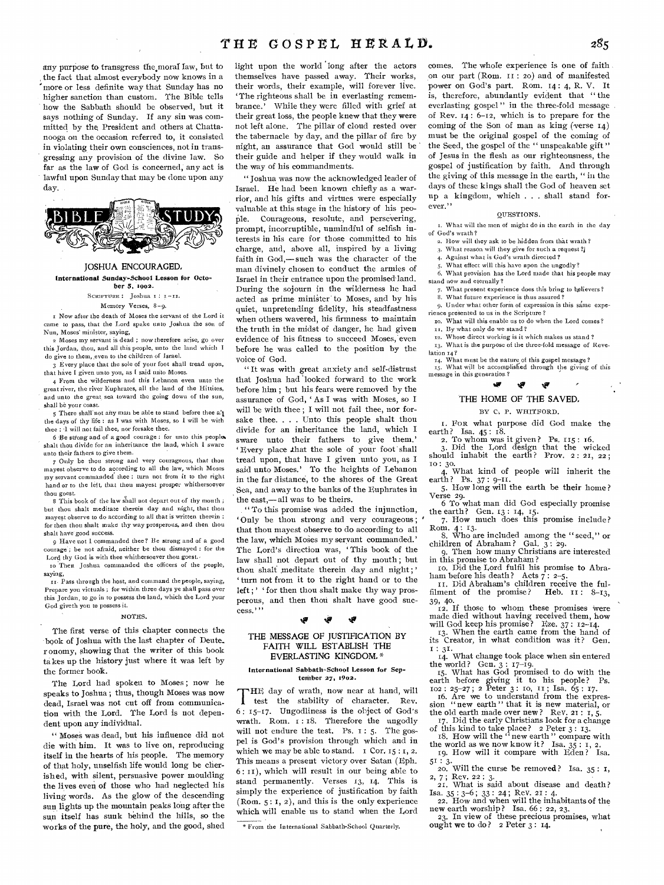any purpose to transgress the moral law, but to the fact that almost everybody now knows in a 'more or less definite way that Sunday has no higher sanction than custom. The Bible tells how the Sabbath should be observed, but it says nothing of Sunday. If any sin was committed by the President and others at Chattanooga on the occasion referred to, it consisted in violating their own consciences, not in transgressing any provision of the divine law. So far as the law of God is concerned, any act is lawful upon Sunday that may be clone upon any day.



## JOSHUA ENCOURAGED,

International Sunday-School Lesson for October 5, 1002.

> SCRIPTURE : Joshua I : 1-II. Memory Verses, 8-9.

x Now after the death of Moses the servant of the Lord it came to pass, that the Lord spoke unto Joshua the son of Nun, Moses' minister, saying, Moses my servant is dead ; now therefore arise, go over

this Jordan, thou, and all this people, unto the land which I do give to them, even to the children of Israel.

3 Every place that the sole of your foot shall tread upon, that have I given unto you, as I said unto Moses.

4 From the wilderness and this Lebanon even unto the great river, the river Euphrates, all the land of the Hittites, and unto the great sea toward the going down of the sun, shall be your coast.

5 There shall not any man be able to stand before thee all the days of thy life : as I was with Moses, so I will be with thee ; 1 will not fail thee, nor forsake thee.

6 Be strong and of a good courage : for unto this people. shalt thou divide for an inheritance the land, which I sware unto their fathers to give them.

<sup>7</sup>Only be thou strong and very courageous, that thou mayest observe to do according to all the law, which Moses my servant commanded thee : turn not from it to the right hand or to the left, that thou mayest prosper whithersoeyer thou goest.

8 This book of the law shall not depart out of thy mouth ; but thou shalt meditate therein day and night, that thou mayest observe to do according to all that is written therein: for then thou shalt make thy way prosperous, and then thou shalt have good success.

9 Have not 1 commanded thee? Be strong and of a good courage; be not afraid, neither be thou dismayed : for the Lord thy God is with thee whithersoever thou goest.

so Then Joshua commanded the officers of the people, saying,

II. Pass through the host, and command the people, saying, Prepare you victuals ; for within three days ye shall pass over this Jordan, to go in to possess the land, which the Lord your God giveth you to possess it.

#### NOTES.

The first verse of this chapter connects the book of Joshua with the last chapter of Dente. r onomy, showing that the writer of this book takes up the history just where it was left by the former book.

The Lord had spoken to Moses ; now he speaks to Joshua ; thus, though Moses was now dead, Israel was not cut off from communication with the Lord. The Lord is not dependent upon any individual.

" Moses was dead, but his influence did not die with him. It was to live on, reproducing itself in the hearts of his people. The memory of that holy, unselfish life would long be cherished, with silent, persuasive power moulding the lives even of those who had neglected his living words. As the glow of the descending sun lights up the mountain peaks long after the sun itself has sunk behind the hills, so the works of the pure, the holy, and the good, shed light upon the world 'long after the actors themselves have passed away. Their works, their words, their example, will forever live. ' The righteous shall be in everlasting remembrance.' While they were filled with grief at their great loss, the people knew that they were not left alone. The pillar of cloud rested over the tabernacle by day, and the pillar of fire by night, an assurance that God would still be their guide and helper if they would walk in the way of his commandments.

" Joshua was now the acknowledged leader of Israel. He had been known chiefly as a warrior, and his gifts and virtues were especially valuable at this stage in the history of his people. Courageous, resolute, and persevering, prompt, incorruptible, unmindful of selfish interests in his care for those committed to his charge, and, above all, inspired by a living faith in God,-such was the character of the man divinely chosen to conduct the armies of Israel in their entrance upon the promised-land. During the sojourn in the wilderness he had acted as prime minister' to Moses, and by his quiet, unpretending fidelity, his steadfastness when others wavered, his firmness to maintain the truth in the midst of danger, he had given evidence of his fitness to succeed Moses, even before he was called to the position by the voice of God.

" It was with great anxiety and self-distrust that Joshua had 'looked forward to the work before him ; but his fears were removed by the assurance of God, ' As I was with Moses, so I will be with thee ; I will not fail thee, nor forsake thee. . . . Unto this people shalt thou divide for an inheritance the land, which I sware unto their fathers to give them.' Every place .that the sole of your foot shall tread upon, that have I given unto you, as I said unto Moses.' To the heights of Lebanon in the far distance, to the shores of the Great Sea, and away to the banks of the Euphrates in the east,-all was to be theirs.

" To this promise was added the injunction, `Only be thou strong and very courageous; that thou mayest observe to do according to all the law, which Moses my servant commanded.' The Lord's direction was, ' This book of the law shall not depart out of thy mouth; but thou shalt meditate therein day and night ; ' ' turn not from it to the right hand or to the left;' 'for then thou shalt make thy way prosperous, and then thou shalt have good success.""

### N? tri

## THE MESSAGE OF JUSTIFICATION BY FAITH WILL ESTABLISH THE EVERLASTING KINGDOM,\*

#### International Sabbath-School Lesson for September 27, 1902.

THE day of wrath, now near at hand, will<br>test the stability of character. Rev. HE day of wrath, now near at hand, will 6: 15-17. Ungodliness is the object of God's wrath. Rom.  $1:18$ . Therefore the ungodly will not endure the test. Ps. 1: 5. The gospel is God's provision through which and in which we may be able to stand. I Cor.  $15:1, 2$ . This means a present victory over Satan (Eph. 6: in), which will result in our being able to stand permanently. Verses 13, 14. This is simply the experience of justification by faith (Rom.  $5: I$ , 2), and this is the only experience which will enable us to stand when the Lord

\* From the International Sabbath-School Quarterly.

comes. The whole experience is one of faith on our part (Rom. II : 20) and of manifested power on God's part. Rom. 14: 4, R. V. It is, therefore, abundantly evident that " the everlasting gospel" in the three-fold message of Rev. 14 : 6-12, which is to prepare for the coming of the Son of man as king (verse 14) must be the original gospel of the coming of the Seed, the gospel of the " unspeakable gift" of Jesus in the flesh as our righteousness, the gospel of justification by faith. And through the giving of this message in the earth, " in the days of these kings shall the God of heaven set up a kingdom, which . . . shall stand forever."

## OUESTIONS.

1. What will the men of might do in the earth in the day of God's wrath?

2. How will they ask to be hidden from that wrath'?

3. What reason will they give for such a request ?J

4. Against what is God's wrath directed?

What effect will this have upon the ungodly? 6. What provision has the Lord made that his people may stand now and eternally?

What present experience does this bring to believers? 8. What future experience is thus assured ?

g. Under what other forin of expression is this same experience presented to us in the Scripture ?

so. What will this enable us to do when the Lord comes? II. By what only do we stand?

- tz. Whose direct working is it which makes us stand ?
- hat is the purpose of the three-fold message of Reve-

lation 14? 14. What must be the nature of this gospel message?

15. What will be accomplished through the giving of this message in this generation?

#### Ŵ *<sup>N</sup>yi*

## THE HOME OF THE SAVED,

BY C. P. WHITFORD.

I. FOR what purpose did God make the

earth? Isa. 45: 18.<br>
2. To whom was it given? Ps. 115: 16.<br>
3. Did the Lord design that the wicked<br>
should inhabit the earth? Prov. 2: 21, 22; 10 : 30.

4. What kind of people will inherit the earth? Ps. 37 : 9-11.

5. How long will the earth be their home?  $Verse$  29.

To what man did God especially promise the earth? Gen.  $13 : 14, 15.$ <br>7. How much does this promise include?

Rom. 4: 13.<br>8. Who are included among the "seed," or

children of Abraham? Gal. 3: 29. 9. Then how many Christians are interested

in this promise to Abraham? to. Did the Lord fulfil his promise to Abra-

ham before his death? Acts  $7: 2-5$ .

II. Did Abraham's children receive the ful-<br>ment of the promise? Heb.  $11:8-13$ , filment of the promise?

39, f those to whom these promises were

made died without having received them, how will God keep his promise? Eze. 37: 12–14.<br>
13. When the earth came from the hand of<br>
its Creator, in what condition was it? Gen. I : 31.

 $14.$  What change took place when sin entered the world? Gen.  $3: 17-19$ .<br>
15. What has God promised to do with the

earth before giving it to his people? Ps.<br>
102: 25-27; 2 Peter 3: 10, II; Isa. 65: 17.

16. Are we to understand from the expression " new earth" that it is new material, or the old earth made over new? Rev. 21: 1, 5.

17. Did the early Christians look for a change of this kind to take place ? 2 Peter 3 : 13.

18. How will the  $\cdot$  new earth " compare with the world as we now know it? Isa.  $35 : I, 2$ . 19. How will it compare with  $\vec{E}$ den? Isa.  $5^{\text{T}}$  : 3.

 $51 : 3.$ <br>20. Will the curse be removed? Isa. 35: 2, 7 ; Rev. 22 ; 3.

21. What is said about disease and death? Isa.  $35 : 3-6$ ;  $33 : 24$ ; Rev. 21: 4.<br>22. How and when will the inhabitants of the

new earth worship? Isa. 66 : 22, 23.

23. In view of these precious promises, what ought we to do?  $2$  Peter  $3:14$ .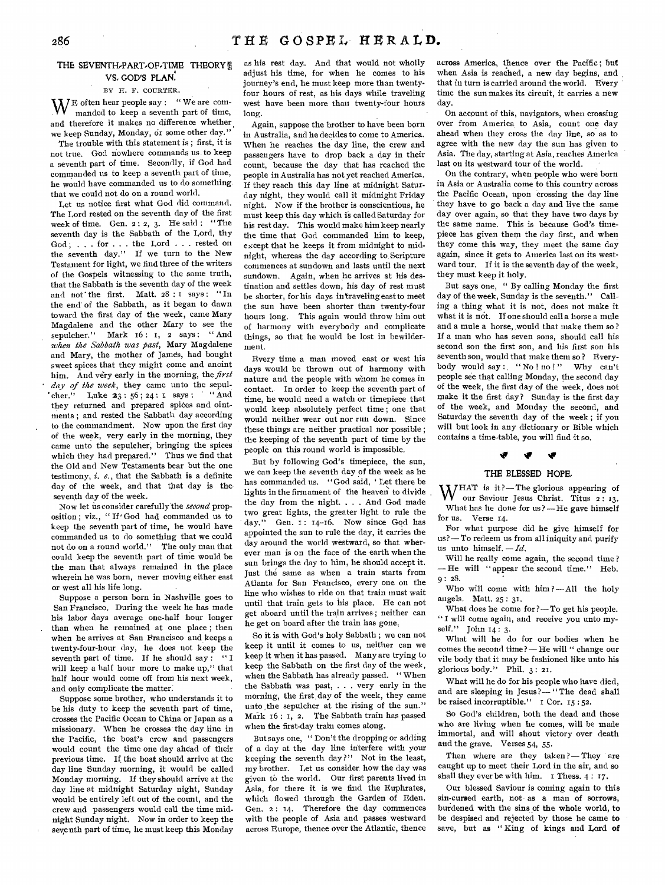## THE SEVENTH-PART-OF-TIME THEORY VS. GOD'S PLAN.

### BY H. F. COURTER.

 $W^{\text{E}}$  often hear people say : " We are commanded to keep a seventh part of time, and therefore it makes no difference whether we keep Sunday, Monday, or some other day."

The trouble with this statement is ; first, it is not true. God nowhere commands us to keep a seventh part of time. Secondly, if God had commanded us to keep a seventh part of time, he would have commanded us to do something that we could not do on a round world.

Let us notice first what God did command. The Lord rested on the seventh day of the first week of time. Gen. 2 : 2, 3. He said : "The seventh day is the Sabbath of the Lord, thy God ; . . . for . . . the Lord . . . rested on the seventh day." If we turn to the New Testament for light, we find three of the writers of the Gospels witnessing to the same truth, that the Sabbath is the seventh day of the week and not the first. Matt. 28 : I says: "In the end of the Sabbath, as it began to dawn toward the first day of the week, came Mary Magdalene and the other Mary to see the sepulcher." Mark 16: 1, 2 says: "And *when the Sabbath was past,* Mary Magdalene and Mary, the mother of James, had bought sweet spices that they might come and anoint him. And very early in the morning, the  $first$ *day of the week,* they came unto the sepulcher." Luke 23 : 56 ; 24 : I says : " And they returned and prepared spices and ointments ; and rested the Sabbath day according to the commandment. Now upon the first day of the week, very early in the morning, they came unto the sepulcher, bringing the spices which they had prepared." Thus we find that the Old and New Testaments bear but the one testimony, *i. e.,* that the Sabbath is a definite day of the week, and that that day is the seventh day of the week.

Now let us consider carefully the *second* proposition ; viz., " If' God had commanded us to keep the seventh part of time, he would have commanded us to do something that we could not do on a round world." The only man that could keep the seventh part of time would be the man that always remained in the place wherein he was born, never moving either east or west all his life long.

Suppose a person born in Nashville goes to San Francisco. During the week he has made his labor days average one-half hour longer than when he remained at one place ; then when he arrives at San Francisco and keeps a twenty-four-hour day, he does not keep the seventh part of time. If he should say : " I will keep a half hour more to make up," that half hour would come off from his next week, and only complicate the matter.

Suppose some brother, who understands it to be his duty to keep the seventh part of time, crosses the Pacific Ocean to China or Japan as a missionary. When he crosses the day line in the Pacific, the boat's crew and passengers would count the time one day ahead of their previous time. If the boat should arrive at the day line Sunday morning, it would be called Monday morning. If they should arrive at the day line at midnight Saturday night, Sunday would be entirely left out of the count, and the crew and passengers would call the time midnight Sunday night. Now in order to keep the seventh part of time, he must keep this Monday

as his rest day. And that would not wholly adjust his time, for when he comes to his journey's end, he must keep more than twentyfour hours of rest, as his days while traveling west have been more than twenty-four hours long.

Again, suppose the brother to have been born in Australia, and he decides to come to America. When he reaches the day line, the crew and passengers have to drop back a day in their count, because the day that has reached the people in Australia has not yet reached America. If they reach this day line at midnight Saturday night, they would call it midnight Friday night. Now if the brother is conscientious, he must keep this day which is called Saturday for his rest day. This would make him keep nearly the time that God commanded him to keep, except that he keeps it from midnight to midnight, whereas the day according to Scripture commences at sundown and lasts until the next sundown. Again, when he arrives at his destination and settles down, his day of rest must be shorter, for his days in traveling east to meet the sun have been shorter than twenty-four hours long. This again would throw him out of harmony with everybody and complicate things, so that he would be lost in bewilderment.

Every time a man moved east or west his days would be thrown out of harmony with nature and the people with whom he comes in contact. In order to keep the seventh part of time, he would need a watch or timepiece that would keep absolutely perfect time ; one that would neither wear out nor run down. Since these things are neither practical nor possible ; the keeping of the seventh part of time by the people on this round world is impossible.

But by following God's timepiece, the sun, we can keep the seventh day of the week as he has commanded us. " God said, ' Let there be lights in the firmament of the heaven to divide the day from the night. . . . And God made two great lights, the greater light to rule the day." Gen. I: 14-16. Now since God has appointed the sun to rule the day, it carries the day around the world westward, so that wherever man is on the face of the earth when the sun brings the day to him, he should accept it. Just the same as when a train starts from Atlanta for San Francisco, every one on the line who wishes to ride on that train must wait until that train gets to his place. He can not get aboard until the train arrives; neither can he get on board after the train has gone.

So it is with God's holy Sabbath ; we can not keep it until it comes to us, neither can we keep it when it has passed. Many are trying to keep the Sabbath on the first day of the week, when the Sabbath has already passed. " When the Sabbath was past, . . . very early in the morning, the first, day of the week, they came unto, the sepulcher at the rising of the sun." Mark 16: 1, 2. The Sabbath train has passed when the first-day train comes along.

But says one, " Don't the dropping or adding of a day at the day line interfere with your keeping the seventh day ?" Not in the least, my brother. Let us consider how the day was given **to** the world. Our first parents lived in Asia, for there it is we find the Euphrates, which flowed through the Garden of Eden. Gen. 2: 14. Therefore the day commences with the people of Asia and passes westward across Europe, thence over the Atlantic, thence across America, thence over the Pacific ; but when Asia is reached, a new day begins, and , that in turn is carried around the world. Every time the sun makes its circuit, it carries a new day.

On account of this, navigators, when crossing over from America to Asia, count one day ahead when they cross the day line, so as to agree with the new day the sun has given to Asia. The day, starting at Asia, reaches America last on its westward tour of the world.

On the contrary, when people who were born in Asia or Australia come to this country across the Pacific Ocean, upon crossing the day line they have to go back a day and live the same day over again, so that they have two days by the same name. This is because God's timepiece has given them the day first, and when they come this way, they meet the same day again, since it gets to America last on its westward tour. If it is the seventh day of the week, they must keep it holy.

But says one, " By calling Monday the first day of the week, Sunday is the seventh." Calling a thing what it is not, does not make it what it is not. If one should calla horse a mule and a mule a horse, would that make them so ? If a man who has seven sons, should call his second son the first son, and his first son his seventh son, would that make them so ? Everybody would say: "No ! no !" Why can't people see that calling Monday, the second day of the week, the first day of the week, does not make it the first day? Sunday is the first day of the week, and Monday the second, and Saturday the seventh day of the week ; if you will but look in any dictionary or Bible which contains a time-table, you will find it so.

#### w **4IF \*IF**

## THE BLESSED HOPE,

 $W^{\text{HAT}}$  is it ?— The glorious appearing of our Saviour Jesus Christ. Titus 2: 13. What has he done for us ? — He gave himself for us. Verse 14.

For what purpose did he give himself for us ?— To redeem us from all iniquity and purify us unto himself. *—Id.* 

Will he really come again, the second time? — He will " appear the second time." Heb.  $9: 28.$ 

Who will come with him ?— All the holy angels. Matt. 25 : 31.

What does he come for ?— To get his people. " I will come again, and receive you unto myself." John 14: 3.

What will he do for our bodies when he comes the second time ? — He will " change our vile body that it may be fashioned like unto his glorious body." Phil. 3: 21.

What will he do for his people who have died, and are sleeping in Jesus?— " The dead shall be raised incorruptible."  $I$  Cor.  $I$ 5:52.

So God's children, both the dead and those who are living when he comes, will be made immortal, and will shout victory over death and the grave. Verses 54, 55.

Then where are they taken? — They are caught up to meet their Lord in the air, and so shall they ever be with him. I Thess. 4: 17.

Our blessed Saviour is coming again to this sin-cursed earth, not- as a man of sorrows, burdened with the sins of the whole world, to be despised and rejected by those he came to save, but as "King of kings and Lord of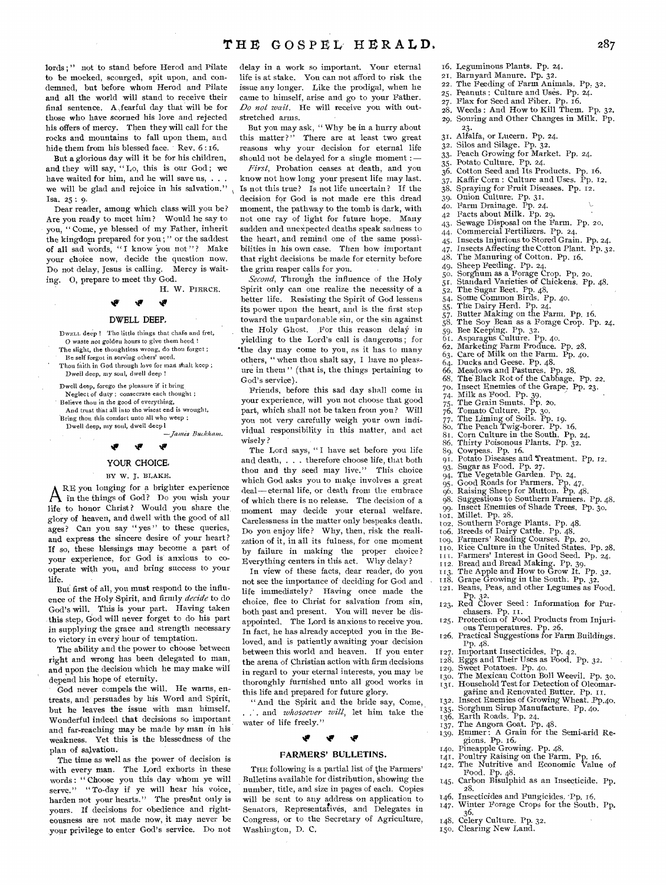lords;" not to stand before Herod and Pilate to be mocked, scourged, spit upon, and condemned, but before whom Herod and Pilate and all the world will stand to receive their final sentence. A fearful day that will be for those who have scorned his love and rejected his offers of mercy. Then they will call for the rocks and mountains to fall upon them, and hide them from his blessed face. Rev. 6:16.

But a glorious day will it be for his children, and they will say, "Lo, this is our God; we have waited for him, and he will save us, . we will be glad and rejoice in his salvation," \ Isa. 25 : 9.

Dear reader, among which class will you be? Are you ready to meet him? Would he say to you, " Come, ye blessed of my Father, inherit the kingdom prepared for you ; " or the saddest of all sad words, "I know you not"? Make your choice now, decide the question now. Do not delay, Jesus is calling. Mercy is Waiting. 0, prepare to meet thy God.

H. W. PIERCE.

## tiv DWELL DEEP.

جي

DWELL deep I The little things that chafe and fret, 0 waste not golden hours to give them heed I The slight, the thoughtless wrong, do thou forget ;

- Be self forgot in serving others' need. Thou faith in God through love for man shalt keep ;
- Dwell deep, my soul, dwell deep !
- Dwell deep, forego the pleasure if it bring Neglect of duty ; consecrate each thought Believe thou in the good of everything, And trust that all into the wisest end is wrought, 'Bring thou this comfort unto all who weep :

Dwell deep, my soul, dwell deep 1 - James Buckham.

## ir tIv YOUR CHOICE.

## BY W. J. BLAKE.

A KE you longing for a higher experience RE you longing for a brighter experience life to honor Christ? Would you share the, glory of heaven, and dwell with the good of all ages? Can you say "yes" to these queries, and express the sincere desire of your heart? If so, these blessings may become a part of your experience, for God is anxious to cooperate with you, and bring success to your life.

But first of all, you must respond to the influence of the Holy Spirit, and firmly *decide* to do God's will. This is your part. Having taken this step, God will never forget to do his part in supplying the grace and strength necessary to victory in every hour of temptation.

The ability and the power to choose between right and wrong has been delegated to man, and upon the decision which he may make will depend his hope of eternity.

God never compels the will. He warns, entreats, and persuades by his Word and Spirit, but he leaves the issue with man himself. Wonderful indeed that decisions so important and far-reaching may be made by man in his weakness. Yet this is the blessedness of the plan of salvation.

The time as well as the power of decision is with every man. The Lord exhorts in these words : " Choose you this day whom ye will serve." "To-day if ye will hear his voice, harden not your hearts." The present only is yours. If decisions for obedience and righteousness are not made now, it may never be your privilege to enter God's service. Do not delay in a work so important. Your eternal life is at stake. You can not afford to risk the issue any longer. Like the prodigal, when he came to himself, arise and go to your Father. *Do not wait.* He will receive you with outstretched arms.

But you may ask, " Why be in a hurry about this matter?" There are at least two great reasons why your decision for eternal life should not be delayed for a single moment :-

*First,* Probation ceases at death, and you know not how long your present life may last. Is not this true? Is not life uncertain? If the decision for God is not made ere this dread moment, the pathway to the tomb is dark, with not one ray of light for future hope. Many sudden and unexpected deaths speak sadness to the heart, and remind one of the same possibilities in his own case. Then how important that right decisions be made for eternity before the grim reaper calls for you.

*Second,* Through the influence of the Holy Spirit only can one realize the necessity of a better life. Resisting the Spirit of God lessens its power upon the heart, and is the first step toward the unpardonable sin, or the sin against the Holy Ghost. For this reason delay in yielding to the Lord's call is dangerous ; for 'the day may come to you, as it has to many others, " when thou shalt say, I have no pleasure in them " (that is, the things pertaining to God's service).

Friends, before this sad day shall come in your experience, will you not choose that good part, which shall not be taken from you ? Will you not very carefully weigh your own individual responsibility in this matter, and act wisely ?

The Lord says, " I have set before you life and death, . . . therefore choose life, that both thou and thy seed may live." This choice which God asks you to make involves a great deal-eternal life, or death from the embrace of which there is no release. The decision of a moment may decide your eternal welfare. Carelessness in the matter only bespeaks death. Do you enjoy life? Why, then, risk the realization of it, in all its fulness, for one moment by failure in making the proper choice? Everything centers in this act. Why delay?

In view of these facts, dear reader, do you not see the importance of deciding for God and life immediately? Having once made the choice, flee to Christ for salvation from sin, both past and present. You will never be disappointed. The Lord is anxious to receive you. In fact, he has already accepted you in the Beloved, and is patiently awaiting your decision between this world and heaven. If you enter the arena of Christian action with firm decisions in regard to your eternal interests, you may be thoroughly furnished unto all good works in this life and prepared for future glory.

" And the Spirit and the bride say, Come, . . and *whosoever will,* let him take the water of life freely."

## *\*Ir*

## FARMERS' BULLETINS.

THE following is a partial list of the Farmers' Bulletins available for distribution, showing the number, title, and size in pages of each. Copies will be sent to any address on application to Senators, Representatives, and Delegates in Congress, or to the Secretary of Agriculture, Washington, D, C.

- 16. Leguminous Plants. Pp. 24.
- 21. Barnyard Manure. Pp. 32.<br>22. The Feeding of Farm Anii
- 22. The Feeding of Farm Animals. Pp. 32,
- 25. Peanuts : Culture and Uses. Pp. 24. 25. Peanuts: Culture and Uses. Pp. 27. Flax for Seed and Fiber. Pp. 16.
- 
- 28. Weeds : And How to Kill Them. Pp. 32.
- 29. Souring and Other Changes in Milk. Pp.
- 23. 31. Alfalfa, or Lucern. Pp, 24.
- 32. Silos and Silage. Pp. 32.
- 33. Peach Growing for Market. Pp. 24.
- 35. Potato Culture. Pp. 24.<br>36. Cotton Seed and Its Pro
- Cotton Seed and Its Products. Pp. 16.
- $37.$  Kaffir Corn : Culture and Uses.  $\tilde{P}p$ . 12.<br>38. Spraying for Fruit Diseases. Pp. 12.
- Spraying for Fruit Diseases. Pp. 12.
- 39. Onion Culture. Pp. 31.
- 40. Farm Drainage. Pp. 24. 42 Pacts about Milk. Pp, 29.
- 
- 43. Sewage Disposal on the Farm. Pp. 20,
- 44. Commercial Fertilizers. Pp. 24,
- 45. Insects Injurious to Stored Grain. Pp. 24. 45. Insects Injurious to Stored Grain. Pp. 24.<br>47. Insects Affecting the Cotton Plant. Pp. 32.
- 
- 48. The Manuring of Cotton. Pp. 16.<br>49. Sheep Feeding. Pp. 24.
- 
- 49. Sheep Feeding. Pp. 24. 5o. Sorghum as a Forage Crop. Pp, 2o. 5r. Standard Varieties of Chickens. Pp. 48.
- 52. The Sugar Beet. Pp. 48.
- 54. Some Common Birds, Pp. 40.
- 55. The Dairy Herd. Pp. 24,
- 57. Butter Making on the Farm. Pp. 16.
- 58. The Soy Bean as a Forage Crop. Pp. 24.
- 59. Bee Keeping. Pp. 32, 61. Asparagus Culture. Pp. *40,*
- 
- 62. Marketing Farm Produce. Pp, 28. 63. Care of Milk on the Farm. Pp. 4o.
- 
- 64. Ducks and Geese. Pp. 48.
- 66. Meadows and Pastures. Pp. 28.
- 68. The Black Rot of the Cabbage. Pp. *22.*  70. Insect Enemies of the Grape. Pp. 23.
- 
- 74. Milk as Food. Pp. 39, 75. The Grain Smuts. Pp. 20. 76. Tomato Culture. Pp. 3o. 77. The Liming of Soils. Pp, 19. So. The Peach Twig-borer. Pp. 16.
- 
- 
- 81. Corn Culture in the South. Pp, 24.
- 86. Thirty Poisonous Plants. Pp. 32.
- 
- 89. Cowpeas. Pp. 16.<br>91. Potato Diseases and Treatment. Pp. 12.<br>93. Sugar as Food. Pp. 27.<br>94. The Vegetable Garden. Pp. 24.<br>95. Good Roads for Farmers. Pp. 47.<br>96. Raising Sheep for Mutton. Pp. 48.<br>98. Suggestions to Sout
- 
- 
- 
- 
- 
- 99. Insect Enemies of Shade Trees. Pp. 3o.
- 
- ior. Millet. Pp. 28. 102. Southern Forage Plants. Pp. 48.
- to6. Breeds of Dairy Cattle. Pp. 48.
- fog. Partners' Reading Courses. Pp. 2o.
- ITO. Rice Culture in the United States, Pp. 28. Ili. Farmers' Interest in Good Seed. Pp. 24.
- 
- 
- 112. Bread and Bread Making. Pp. 39. 1i3. The Apple and How to Grow It. Pp. 32,
- 
- 118. Grape Growing in the South. Pp. 32. 121. Beans, Peas, and other Legumes as Food.
- Pp. 32. 123. Red Clover Seed : Information for Pur-
- chasers. Pp, 11. 125. Protection of Food Products from Injurious Temperatures. Pp. 26,
- 126. Practical Suggestions for Farm Buildings.
- 
- 
- 
- Pp. 48.<br>
127. Important Insecticides. Pp. 42.<br>
128. Eggs and Their Uses as Food. Pp. 32.<br>
129. Sweet Potatoes. Pp. 40.<br>
130. The Mexican Cotton Boll Weevil. Pp. 30. 131. Household Test for Detection of Oleomar-
- garine and Renovated Butter. Pp. II.

140. Pineapple Growing. Pp. 48, 141, Poultry Raising on the Farm. Pp. 16. 142. The Nutritive and Economic Value of Food. Pp. 48. 145. Carbon Bisulphid as an Insecticide. Pp.

146. Insecticides and Fungicides., Pp. 16. 147. Winter Forage Crops for the South. Pp.

- 132. Insect Enemies of Growing Wheat. Pp.40.
- 135. Sorghum Sirup Manufacture. Pp. 4o. 136. Earth Roads. Pp. 24, 137. The Angora Goat. Pp, 48, 139. Emmer : A Grain for the Semi-arid Re-gions. Pp. 16,
- 

148. Celery Culture. Pp. 32. I5o, Clearing New Land.

28.

36.